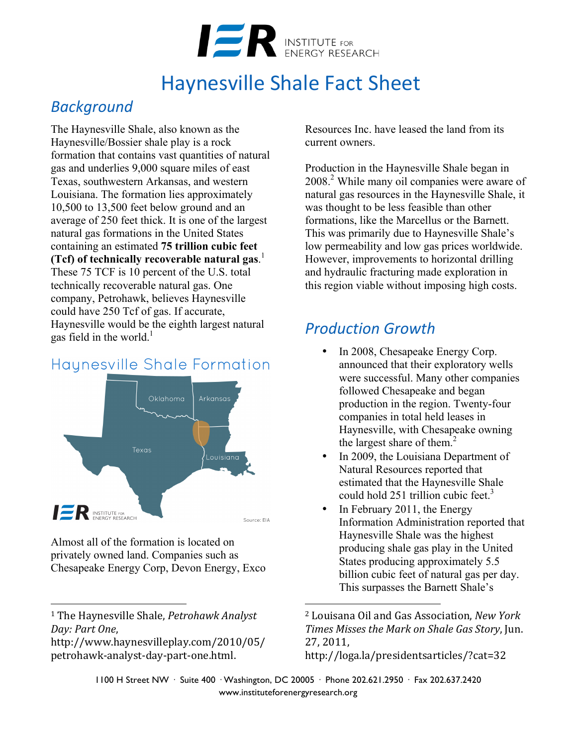

# Haynesville Shale Fact Sheet

## *Background*

The Haynesville Shale, also known as the Haynesville/Bossier shale play is a rock formation that contains vast quantities of natural gas and underlies 9,000 square miles of east Texas, southwestern Arkansas, and western Louisiana. The formation lies approximately 10,500 to 13,500 feet below ground and an average of 250 feet thick. It is one of the largest natural gas formations in the United States containing an estimated **75 trillion cubic feet (Tcf) of technically recoverable natural gas**. 1 These 75 TCF is 10 percent of the U.S. total technically recoverable natural gas. One company, Petrohawk, believes Haynesville could have 250 Tcf of gas. If accurate, Haynesville would be the eighth largest natural gas field in the world. $<sup>1</sup>$ </sup>

## **Haynesville Shale Formation**



Almost all of the formation is located on privately owned land. Companies such as Chesapeake Energy Corp, Devon Energy, Exco

 

Resources Inc. have leased the land from its current owners.

Production in the Haynesville Shale began in 2008<sup>2</sup>. While many oil companies were aware of natural gas resources in the Haynesville Shale, it was thought to be less feasible than other formations, like the Marcellus or the Barnett. This was primarily due to Haynesville Shale's low permeability and low gas prices worldwide. However, improvements to horizontal drilling and hydraulic fracturing made exploration in this region viable without imposing high costs.

## *Production Growth*

- In 2008, Chesapeake Energy Corp. announced that their exploratory wells were successful. Many other companies followed Chesapeake and began production in the region. Twenty-four companies in total held leases in Haynesville, with Chesapeake owning the largest share of them.<sup>2</sup>
- In 2009, the Louisiana Department of Natural Resources reported that estimated that the Haynesville Shale could hold  $251$  trillion cubic feet.<sup>3</sup>
- In February 2011, the Energy Information Administration reported that Haynesville Shale was the highest producing shale gas play in the United States producing approximately 5.5 billion cubic feet of natural gas per day. This surpasses the Barnett Shale's

<sup>2</sup> Louisana Oil and Gas Association, *New York Times Misses the Mark on Shale Gas Story*, Jun. 27, 2011, 

http://loga.la/presidentsarticles/?cat=32

 

1100 H Street NW · Suite 400 · Washington, DC 20005 · Phone 202.621.2950 · Fax 202.637.2420 www.instituteforenergyresearch.org

<sup>&</sup>lt;sup>1</sup> The Haynesville Shale, *Petrohawk Analyst Day: Part One*, 

http://www.haynesvilleplay.com/2010/05/ petrohawk-analyst-day-part-one.html.